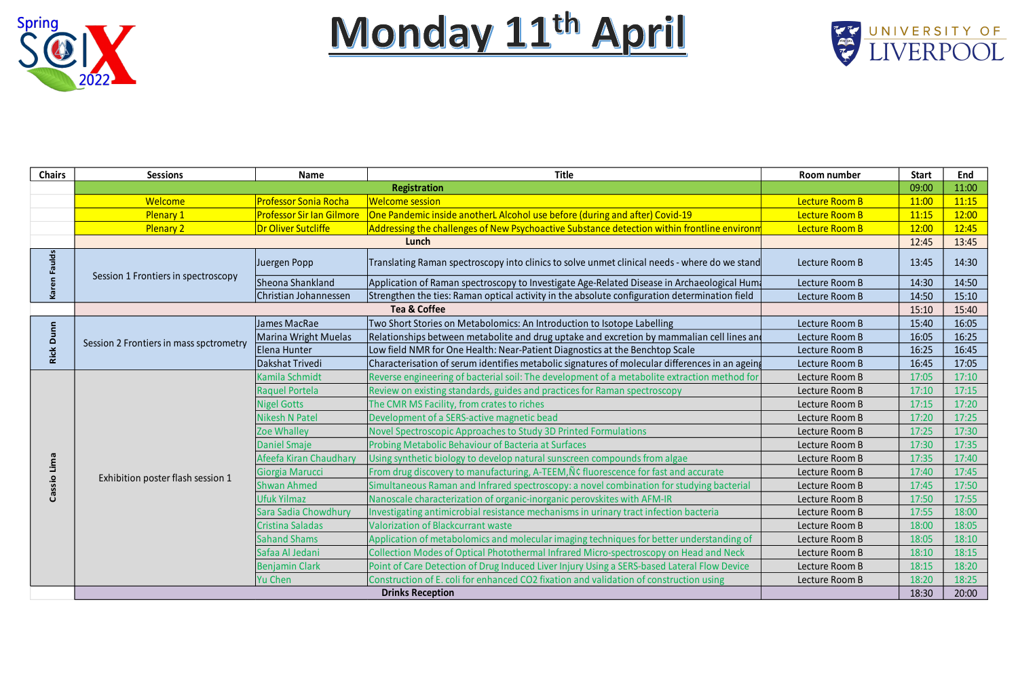



| <b>Chairs</b> | <b>Sessions</b>                         | <b>Name</b>                  | <b>Title</b>                                                                                    | Room number    | <b>Start</b> | End   |
|---------------|-----------------------------------------|------------------------------|-------------------------------------------------------------------------------------------------|----------------|--------------|-------|
|               | <b>Registration</b>                     |                              |                                                                                                 |                | 09:00        | 11:00 |
|               | <b>Welcome</b>                          | <b>Professor Sonia Rocha</b> | <b>Welcome session</b>                                                                          | Lecture Room B | 11:00        | 11:15 |
|               | <b>Plenary 1</b>                        | Professor Sir Ian Gilmore    | One Pandemic inside anotherL Alcohol use before (during and after) Covid-19                     | Lecture Room B | 11:15        | 12:00 |
|               | <b>Plenary 2</b>                        | Dr Oliver Sutcliffe          | Addressing the challenges of New Psychoactive Substance detection within frontline environm     | Lecture Room B | 12:00        | 12:45 |
|               | Lunch                                   |                              |                                                                                                 |                | 12:45        | 13:45 |
| ᇃ             |                                         | Juergen Popp                 | Translating Raman spectroscopy into clinics to solve unmet clinical needs - where do we stand   | Lecture Room B | 13:45        | 14:30 |
|               | Session 1 Frontiers in spectroscopy     | Sheona Shankland             | Application of Raman spectroscopy to Investigate Age-Related Disease in Archaeological Hum      | Lecture Room B | 14:30        | 14:50 |
|               |                                         | Christian Johannessen        | Strengthen the ties: Raman optical activity in the absolute configuration determination field   | Lecture Room B | 14:50        | 15:10 |
|               | <b>Tea &amp; Coffee</b>                 |                              |                                                                                                 |                | 15:10        | 15:40 |
|               |                                         | James MacRae                 | Two Short Stories on Metabolomics: An Introduction to Isotope Labelling                         | Lecture Room B | 15:40        | 16:05 |
| $\Omega$      | Session 2 Frontiers in mass spctrometry | <b>Marina Wright Muelas</b>  | Relationships between metabolite and drug uptake and excretion by mammalian cell lines and      | Lecture Room B | 16:05        | 16:25 |
|               |                                         | Elena Hunter                 | Low field NMR for One Health: Near-Patient Diagnostics at the Benchtop Scale                    | Lecture Room B | 16:25        | 16:45 |
|               |                                         | Dakshat Trivedi              | Characterisation of serum identifies metabolic signatures of molecular differences in an ageing | Lecture Room B | 16:45        | 17:05 |
|               | Exhibition poster flash session 1       | Kamila Schmidt               | Reverse engineering of bacterial soil: The development of a metabolite extraction method for    | Lecture Room B | 17:05        | 17:10 |
|               |                                         | Raquel Portela               | Review on existing standards, guides and practices for Raman spectroscopy                       | Lecture Room B | 17:10        | 17:15 |
|               |                                         | <b>Nigel Gotts</b>           | The CMR MS Facility, from crates to riches                                                      | Lecture Room B | 17:15        | 17:20 |
|               |                                         | <b>Nikesh N Patel</b>        | Development of a SERS-active magnetic bead                                                      | Lecture Room B | 17:20        | 17:25 |
|               |                                         | Zoe Whalley                  | Novel Spectroscopic Approaches to Study 3D Printed Formulations                                 | Lecture Room B | 17:25        | 17:30 |
|               |                                         | <b>Daniel Smaje</b>          | <b>Probing Metabolic Behaviour of Bacteria at Surfaces</b>                                      | Lecture Room B | 17:30        | 17:35 |
|               |                                         | Afeefa Kiran Chaudhary       | Using synthetic biology to develop natural sunscreen compounds from algae                       | Lecture Room B | 17:35        | 17:40 |
|               |                                         | Giorgia Marucci              | From drug discovery to manufacturing, A-TEEM, NC fluorescence for fast and accurate             | Lecture Room B | 17:40        | 17:45 |
|               |                                         | <b>Shwan Ahmed</b>           | Simultaneous Raman and Infrared spectroscopy: a novel combination for studying bacterial        | Lecture Room B | 17:45        | 17:50 |
|               |                                         | Ufuk Yilmaz                  | Nanoscale characterization of organic-inorganic perovskites with AFM-IR                         | Lecture Room B | 17:50        | 17:55 |
|               |                                         | Sara Sadia Chowdhury         | Investigating antimicrobial resistance mechanisms in urinary tract infection bacteria           | Lecture Room B | 17:55        | 18:00 |
|               |                                         | Cristina Saladas             | Valorization of Blackcurrant waste                                                              | Lecture Room B | 18:00        | 18:05 |
|               |                                         | <b>Sahand Shams</b>          | Application of metabolomics and molecular imaging techniques for better understanding of        | Lecture Room B | 18:05        | 18:10 |
|               |                                         | Safaa Al Jedani              | Collection Modes of Optical Photothermal Infrared Micro-spectroscopy on Head and Neck           | Lecture Room B | 18:10        | 18:15 |
|               |                                         | <b>Benjamin Clark</b>        | Point of Care Detection of Drug Induced Liver Injury Using a SERS-based Lateral Flow Device     | Lecture Room B | 18:15        | 18:20 |
|               |                                         | Yu Chen                      | Construction of E. coli for enhanced CO2 fixation and validation of construction using          | Lecture Room B | 18:20        | 18:25 |
|               |                                         |                              | <b>Drinks Reception</b>                                                                         |                | 18:30        | 20:00 |

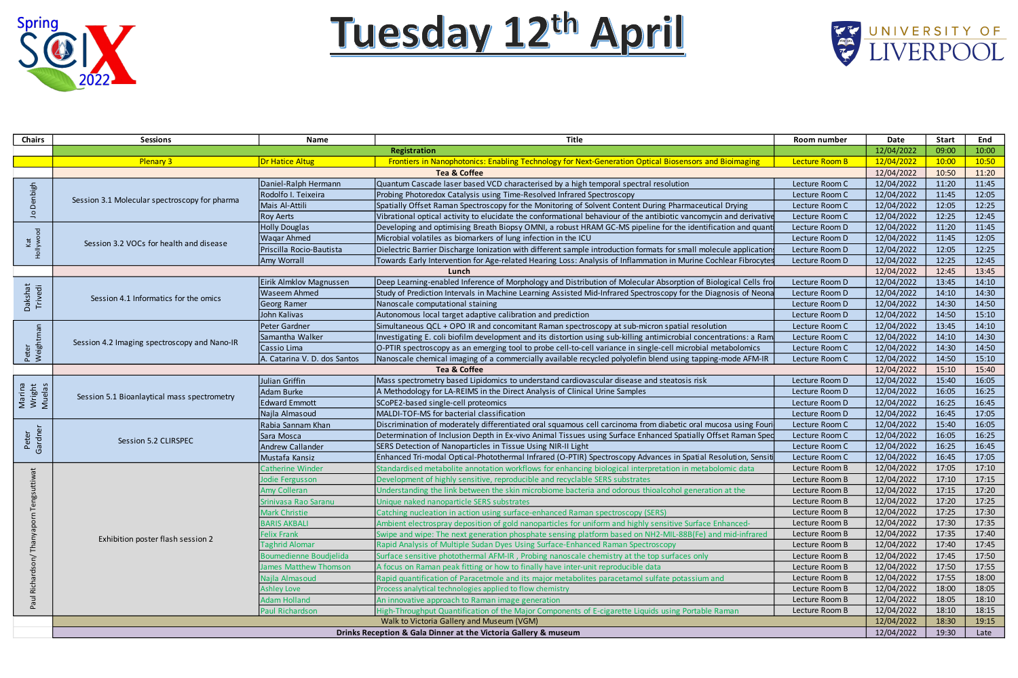

## Tuesday 12th April

| <b>Chairs</b>                          | <b>Sessions</b>                                                 | <b>Name</b>                  | <b>Title</b>                                                                                                       | <b>Room number</b> | Date       | <b>Start</b> | End   |
|----------------------------------------|-----------------------------------------------------------------|------------------------------|--------------------------------------------------------------------------------------------------------------------|--------------------|------------|--------------|-------|
|                                        | Registration                                                    |                              |                                                                                                                    | 12/04/2022         | 09:00      | 10:00        |       |
|                                        | <b>Plenary 3</b>                                                | Dr Hatice Altug              | Frontiers in Nanophotonics: Enabling Technology for Next-Generation Optical Biosensors and Bioimaging              | Lecture Room B     | 12/04/2022 | 10:00        | 10:50 |
|                                        | <b>Tea &amp; Coffee</b>                                         |                              |                                                                                                                    | 12/04/2022         | 10:50      | 11:20        |       |
| high                                   | Session 3.1 Molecular spectroscopy for pharma                   | Daniel-Ralph Hermann         | Quantum Cascade laser based VCD characterised by a high temporal spectral resolution                               | Lecture Room C     | 12/04/2022 | 11:20        | 11:45 |
|                                        |                                                                 | Rodolfo I. Teixeira          | Probing Photoredox Catalysis using Time-Resolved Infrared Spectroscopy                                             | Lecture Room C     | 12/04/2022 | 11:45        | 12:05 |
|                                        |                                                                 | Mais Al-Attili               | Spatially Offset Raman Spectroscopy for the Monitoring of Solvent Content During Pharmaceutical Drying             | Lecture Room C     | 12/04/2022 | 12:05        | 12:25 |
|                                        |                                                                 | <b>Roy Aerts</b>             | Vibrational optical activity to elucidate the conformational behaviour of the antibiotic vancomycin and derivative | Lecture Room C     | 12/04/2022 | 12:25        | 12:45 |
|                                        | Session 3.2 VOCs for health and disease                         | <b>Holly Douglas</b>         | Developing and optimising Breath Biopsy OMNI, a robust HRAM GC-MS pipeline for the identification and quanti       | Lecture Room D     | 12/04/2022 | 11:20        | 11:45 |
|                                        |                                                                 | <b>Wagar Ahmed</b>           | Microbial volatiles as biomarkers of lung infection in the ICU                                                     | Lecture Room D     | 12/04/2022 | 11:45        | 12:05 |
|                                        |                                                                 | Priscilla Rocio-Bautista     | Dielectric Barrier Discharge Ionization with different sample introduction formats for small molecule applications | Lecture Room D     | 12/04/2022 | 12:05        | 12:25 |
|                                        |                                                                 | <b>Amy Worrall</b>           | Towards Early Intervention for Age-related Hearing Loss: Analysis of Inflammation in Murine Cochlear Fibrocytes    | Lecture Room D     | 12/04/2022 | 12:25        | 12:45 |
|                                        | Lunch                                                           |                              |                                                                                                                    |                    |            | 12:45        | 13:45 |
|                                        |                                                                 | Eirik Almklov Magnussen      | Deep Learning-enabled Inference of Morphology and Distribution of Molecular Absorption of Biological Cells fro     | Lecture Room D     | 12/04/2022 | 13:45        | 14:10 |
|                                        | Session 4.1 Informatics for the omics                           | <b>Waseem Ahmed</b>          | Study of Prediction Intervals in Machine Learning Assisted Mid-Infrared Spectroscopy for the Diagnosis of Neona    | Lecture Room D     | 12/04/2022 | 14:10        | 14:30 |
| Dakshat<br>Trivedi                     |                                                                 | <b>Georg Ramer</b>           | Nanoscale computational staining                                                                                   | Lecture Room D     | 12/04/2022 | 14:30        | 14:50 |
|                                        |                                                                 | John Kalivas                 | Autonomous local target adaptive calibration and prediction                                                        | Lecture Room D     | 12/04/2022 | 14:50        | 15:10 |
|                                        |                                                                 | Peter Gardner                | Simultaneous QCL + OPO IR and concomitant Raman spectroscopy at sub-micron spatial resolution                      | Lecture Room C     | 12/04/2022 | 13:45        | 14:10 |
|                                        | Session 4.2 Imaging spectroscopy and Nano-IR                    | Samantha Walker              | Investigating E. coli biofilm development and its distortion using sub-killing antimicrobial concentrations: a Ram | Lecture Room C     | 12/04/2022 | 14:10        | 14:30 |
| Weigh                                  |                                                                 | Cassio Lima                  | O-PTIR spectroscopy as an emerging tool to probe cell-to-cell variance in single-cell microbial metabolomics       | Lecture Room C     | 12/04/2022 | 14:30        | 14:50 |
|                                        |                                                                 | A. Catarina V. D. dos Santos | Nanoscale chemical imaging of a commercially available recycled polyolefin blend using tapping-mode AFM-IR         | Lecture Room C     | 12/04/2022 | 14:50        | 15:10 |
|                                        |                                                                 |                              | <b>Tea &amp; Coffee</b>                                                                                            |                    | 12/04/2022 | 15:10        | 15:40 |
|                                        | Session 5.1 Bioanlaytical mass spectrometry                     | Julian Griffin               | Mass spectrometry based Lipidomics to understand cardiovascular disease and steatosis risk                         | Lecture Room D     | 12/04/2022 | 15:40        | 16:05 |
| arina<br>tright<br>uelas               |                                                                 | Adam Burke                   | A Methodology for LA-REIMS in the Direct Analysis of Clinical Urine Samples                                        | Lecture Room D     | 12/04/2022 | 16:05        | 16:25 |
| $\sigma$<br>$ \vec{z}  \geq  \vec{z} $ |                                                                 | <b>Edward Emmott</b>         | SCoPE2-based single-cell proteomics                                                                                | Lecture Room D     | 12/04/2022 | 16:25        | 16:45 |
|                                        |                                                                 | Najla Almasoud               | MALDI-TOF-MS for bacterial classification                                                                          | Lecture Room D     | 12/04/2022 | 16:45        | 17:05 |
|                                        |                                                                 | Rabia Sannam Khan            | Discrimination of moderately differentiated oral squamous cell carcinoma from diabetic oral mucosa using Fouri     | Lecture Room C     | 12/04/2022 | 15:40        | 16:05 |
| Gardner                                | Session 5.2 CLIRSPEC                                            | Sara Mosca                   | Determination of Inclusion Depth in Ex-vivo Animal Tissues using Surface Enhanced Spatially Offset Raman Sped      | Lecture Room C     | 12/04/2022 | 16:05        | 16:25 |
|                                        |                                                                 | <b>Andrew Callander</b>      | SERS Detection of Nanoparticles in Tissue Using NIR-II Light                                                       | Lecture Room C     | 12/04/2022 | 16:25        | 16:45 |
|                                        |                                                                 | Mustafa Kansiz               | Enhanced Tri-modal Optical-Photothermal Infrared (O-PTIR) Spectroscopy Advances in Spatial Resolution, Sensiti     | Lecture Room C     | 12/04/2022 | 16:45        | 17:05 |
|                                        |                                                                 | <b>Catherine Winder</b>      | Standardised metabolite annotation workflows for enhancing biological interpretation in metabolomic data           | Lecture Room B     | 12/04/2022 | 17:05        | 17:10 |
|                                        |                                                                 | <b>Jodie Fergusson</b>       | Development of highly sensitive, reproducible and recyclable SERS substrates                                       | Lecture Room B     | 12/04/2022 | 17:10        | 17:15 |
|                                        |                                                                 | <b>Amy Colleran</b>          | Understanding the link between the skin microbiome bacteria and odorous thioalcohol generation at the              | Lecture Room B     | 12/04/2022 | 17:15        | 17:20 |
|                                        |                                                                 | Srinivasa Rao Saranu         | Unique naked nanoparticle SERS substrates                                                                          | Lecture Room B     | 12/04/2022 | 17:20        | 17:25 |
|                                        |                                                                 | <b>Mark Christie</b>         | Catching nucleation in action using surface-enhanced Raman spectroscopy (SERS)                                     | Lecture Room B     | 12/04/2022 | 17:25        | 17:30 |
|                                        |                                                                 | <b>BARIS AKBALI</b>          | Ambient electrospray deposition of gold nanoparticles for uniform and highly sensitive Surface Enhanced-           | Lecture Room B     | 12/04/2022 | 17:30        | 17:35 |
|                                        | Exhibition poster flash session 2                               | <b>Felix Frank</b>           | Swipe and wipe: The next generation phosphate sensing platform based on NH2-MIL-88B(Fe) and mid-infrared           | Lecture Room B     | 12/04/2022 | 17:35        | 17:40 |
|                                        |                                                                 | <b>Taghrid Alomar</b>        | Rapid Analysis of Multiple Sudan Dyes Using Surface-Enhanced Raman Spectroscopy                                    | Lecture Room B     | 12/04/2022 | 17:40        | 17:45 |
|                                        |                                                                 | Boumedienne Boudjelida       | Surface sensitive photothermal AFM-IR, Probing nanoscale chemistry at the top surfaces only                        | Lecture Room B     | 12/04/2022 | 17:45        | 17:50 |
|                                        |                                                                 | James Matthew Thomson        | A focus on Raman peak fitting or how to finally have inter-unit reproducible data                                  | Lecture Room B     | 12/04/2022 | 17:50        | 17:55 |
|                                        |                                                                 | Najla Almasoud               | Rapid quantification of Paracetmole and its major metabolites paracetamol sulfate potassium and                    | Lecture Room B     | 12/04/2022 | 17:55        | 18:00 |
|                                        |                                                                 | <b>Ashley Love</b>           | Process analytical technologies applied to flow chemistry                                                          | Lecture Room B     | 12/04/2022 | 18:00        | 18:05 |
|                                        |                                                                 | <b>Adam Holland</b>          | An innovative approach to Raman image generation                                                                   | Lecture Room B     | 12/04/2022 | 18:05        | 18:10 |
|                                        |                                                                 | Paul Richardson              | High-Throughput Quantification of the Major Components of E-cigarette Liquids using Portable Raman                 | Lecture Room B     | 12/04/2022 | 18:10        | 18:15 |
|                                        | Walk to Victoria Gallery and Museum (VGM)                       |                              |                                                                                                                    |                    | 12/04/2022 | 18:30        | 19:15 |
|                                        | Drinks Reception & Gala Dinner at the Victoria Gallery & museum |                              |                                                                                                                    |                    | 12/04/2022 | 19:30        | Late  |